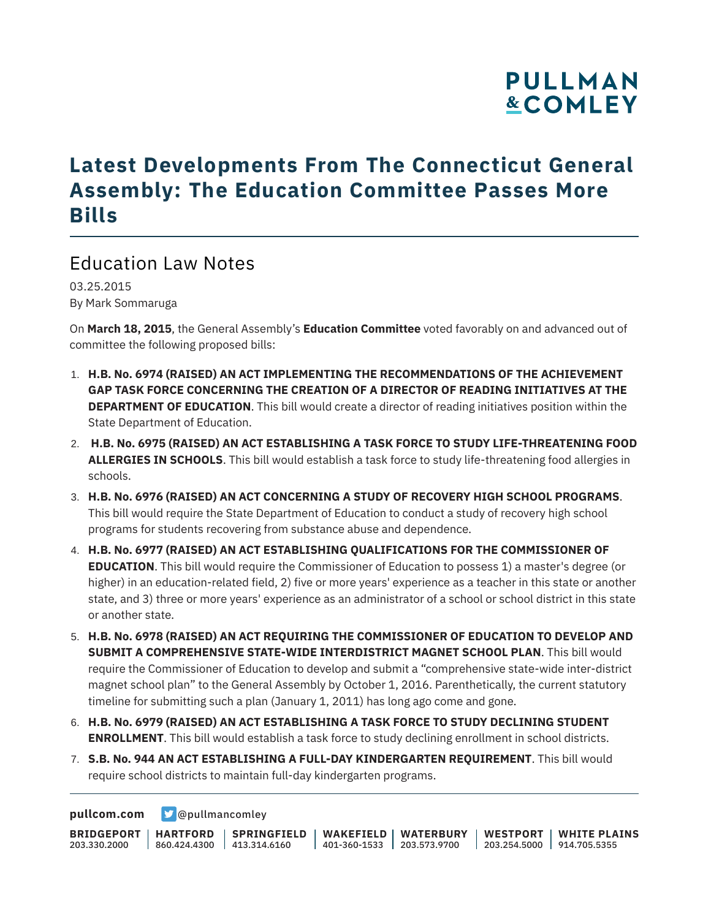### **PULLMAN &COMLEY**

### **Latest Developments From The Connecticut General Assembly: The Education Committee Passes More Bills**

#### Education Law Notes

03.25.2015 By Mark Sommaruga

On **March 18, 2015**, the General Assembly's **Education Committee** voted favorably on and advanced out of committee the following proposed bills:

- 1. **H.B. No. 6974 (RAISED) AN ACT IMPLEMENTING THE RECOMMENDATIONS OF THE ACHIEVEMENT GAP TASK FORCE CONCERNING THE CREATION OF A DIRECTOR OF READING INITIATIVES AT THE DEPARTMENT OF EDUCATION**. This bill would create a director of reading initiatives position within the State Department of Education.
- 2. **H.B. No. 6975 (RAISED) AN ACT ESTABLISHING A TASK FORCE TO STUDY LIFE-THREATENING FOOD ALLERGIES IN SCHOOLS**. This bill would establish a task force to study life-threatening food allergies in schools.
- 3. **H.B. No. 6976 (RAISED) AN ACT CONCERNING A STUDY OF RECOVERY HIGH SCHOOL PROGRAMS**. This bill would require the State Department of Education to conduct a study of recovery high school programs for students recovering from substance abuse and dependence.
- 4. **H.B. No. 6977 (RAISED) AN ACT ESTABLISHING QUALIFICATIONS FOR THE COMMISSIONER OF EDUCATION**. This bill would require the Commissioner of Education to possess 1) a master's degree (or higher) in an education-related field, 2) five or more years' experience as a teacher in this state or another state, and 3) three or more years' experience as an administrator of a school or school district in this state or another state.
- 5. **H.B. No. 6978 (RAISED) AN ACT REQUIRING THE COMMISSIONER OF EDUCATION TO DEVELOP AND SUBMIT A COMPREHENSIVE STATE-WIDE INTERDISTRICT MAGNET SCHOOL PLAN**. This bill would require the Commissioner of Education to develop and submit a "comprehensive state-wide inter-district magnet school plan" to the General Assembly by October 1, 2016. Parenthetically, the current statutory timeline for submitting such a plan (January 1, 2011) has long ago come and gone.
- 6. **H.B. No. 6979 (RAISED) AN ACT ESTABLISHING A TASK FORCE TO STUDY DECLINING STUDENT ENROLLMENT**. This bill would establish a task force to study declining enrollment in school districts.
- 7. **S.B. No. 944 AN ACT ESTABLISHING A FULL-DAY KINDERGARTEN REQUIREMENT**. This bill would require school districts to maintain full-day kindergarten programs.

**[pullcom.com](https://www.pullcom.com) g** [@pullmancomley](https://twitter.com/PullmanComley)

**BRIDGEPORT HARTFORD** 203.330.2000 860.424.4300 413.314.6160 **SPRINGFIELD WAKEFIELD WATERBURY** 401-360-1533 203.573.9700 **WESTPORT WHITE PLAINS** 203.254.5000 914.705.5355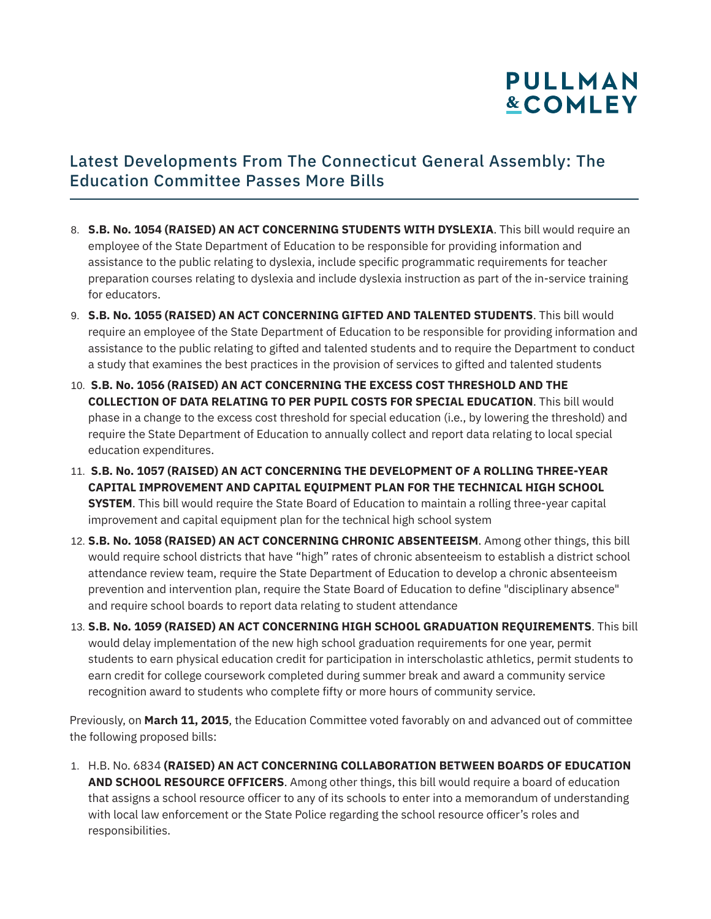# **PULLMAN &COMLEY**

#### Latest Developments From The Connecticut General Assembly: The Education Committee Passes More Bills

- 8. **S.B. No. 1054 (RAISED) AN ACT CONCERNING STUDENTS WITH DYSLEXIA**. This bill would require an employee of the State Department of Education to be responsible for providing information and assistance to the public relating to dyslexia, include specific programmatic requirements for teacher preparation courses relating to dyslexia and include dyslexia instruction as part of the in-service training for educators.
- 9. **S.B. No. 1055 (RAISED) AN ACT CONCERNING GIFTED AND TALENTED STUDENTS**. This bill would require an employee of the State Department of Education to be responsible for providing information and assistance to the public relating to gifted and talented students and to require the Department to conduct a study that examines the best practices in the provision of services to gifted and talented students
- 10. **S.B. No. 1056 (RAISED) AN ACT CONCERNING THE EXCESS COST THRESHOLD AND THE COLLECTION OF DATA RELATING TO PER PUPIL COSTS FOR SPECIAL EDUCATION**. This bill would phase in a change to the excess cost threshold for special education (i.e., by lowering the threshold) and require the State Department of Education to annually collect and report data relating to local special education expenditures.
- 11. **S.B. No. 1057 (RAISED) AN ACT CONCERNING THE DEVELOPMENT OF A ROLLING THREE-YEAR CAPITAL IMPROVEMENT AND CAPITAL EQUIPMENT PLAN FOR THE TECHNICAL HIGH SCHOOL SYSTEM**. This bill would require the State Board of Education to maintain a rolling three-year capital improvement and capital equipment plan for the technical high school system
- 12. **S.B. No. 1058 (RAISED) AN ACT CONCERNING CHRONIC ABSENTEEISM**. Among other things, this bill would require school districts that have "high" rates of chronic absenteeism to establish a district school attendance review team, require the State Department of Education to develop a chronic absenteeism prevention and intervention plan, require the State Board of Education to define "disciplinary absence" and require school boards to report data relating to student attendance
- 13. **S.B. No. 1059 (RAISED) AN ACT CONCERNING HIGH SCHOOL GRADUATION REQUIREMENTS**. This bill would delay implementation of the new high school graduation requirements for one year, permit students to earn physical education credit for participation in interscholastic athletics, permit students to earn credit for college coursework completed during summer break and award a community service recognition award to students who complete fifty or more hours of community service.

Previously, on **March 11, 2015**, the Education Committee voted favorably on and advanced out of committee the following proposed bills:

1. H.B. No. 6834 **(RAISED) AN ACT CONCERNING COLLABORATION BETWEEN BOARDS OF EDUCATION AND SCHOOL RESOURCE OFFICERS**. Among other things, this bill would require a board of education that assigns a school resource officer to any of its schools to enter into a memorandum of understanding with local law enforcement or the State Police regarding the school resource officer's roles and responsibilities.